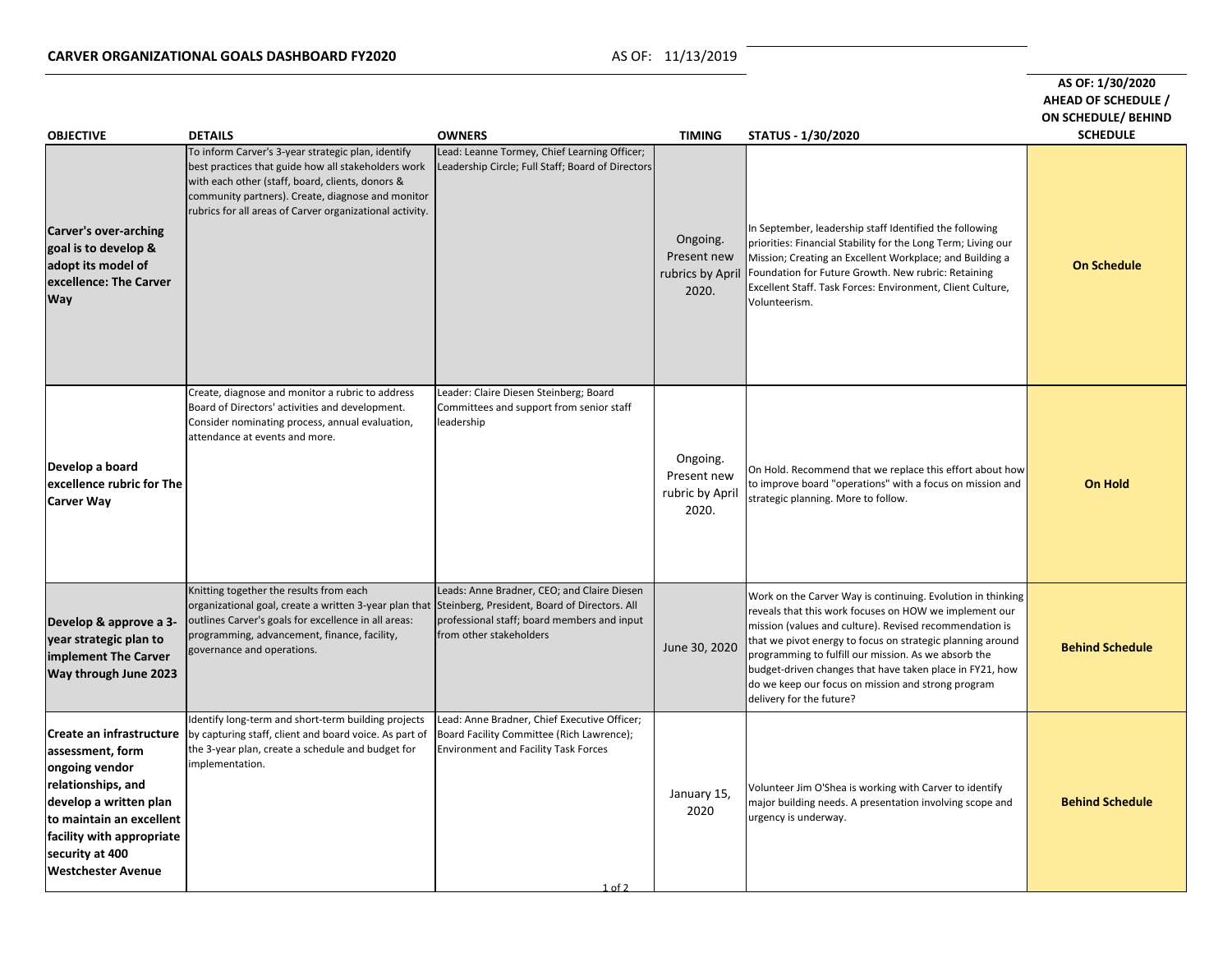| <b>OBJECTIVE</b>                                                                                                                                                                                                               | <b>DETAILS</b>                                                                                                                                                                                                                                                                        | <b>OWNERS</b>                                                                                                                                          | <b>TIMING</b>                                       | STATUS - 1/30/2020                                                                                                                                                                                                                                                                                                                                                                                                                                   | AS OF: 1/30/2020<br>AHEAD OF SCHEDULE /<br><b>ON SCHEDULE/ BEHIND</b><br><b>SCHEDULE</b> |
|--------------------------------------------------------------------------------------------------------------------------------------------------------------------------------------------------------------------------------|---------------------------------------------------------------------------------------------------------------------------------------------------------------------------------------------------------------------------------------------------------------------------------------|--------------------------------------------------------------------------------------------------------------------------------------------------------|-----------------------------------------------------|------------------------------------------------------------------------------------------------------------------------------------------------------------------------------------------------------------------------------------------------------------------------------------------------------------------------------------------------------------------------------------------------------------------------------------------------------|------------------------------------------------------------------------------------------|
| <b>Carver's over-arching</b><br>goal is to develop &<br>adopt its model of<br>excellence: The Carver<br><b>Way</b>                                                                                                             | To inform Carver's 3-year strategic plan, identify<br>best practices that guide how all stakeholders work<br>with each other (staff, board, clients, donors &<br>community partners). Create, diagnose and monitor<br>rubrics for all areas of Carver organizational activity.        | Lead: Leanne Tormey, Chief Learning Officer;<br>Leadership Circle; Full Staff; Board of Directors                                                      | Ongoing.<br>Present new<br>2020.                    | In September, leadership staff Identified the following<br>priorities: Financial Stability for the Long Term; Living our<br>Mission; Creating an Excellent Workplace; and Building a<br>rubrics by April   Foundation for Future Growth. New rubric: Retaining<br>Excellent Staff. Task Forces: Environment, Client Culture,<br>Volunteerism.                                                                                                        | <b>On Schedule</b>                                                                       |
| Develop a board<br>excellence rubric for The<br><b>Carver Way</b>                                                                                                                                                              | Create, diagnose and monitor a rubric to address<br>Board of Directors' activities and development.<br>Consider nominating process, annual evaluation,<br>attendance at events and more.                                                                                              | Leader: Claire Diesen Steinberg; Board<br>Committees and support from senior staff<br>leadership                                                       | Ongoing.<br>Present new<br>rubric by April<br>2020. | On Hold. Recommend that we replace this effort about how<br>to improve board "operations" with a focus on mission and<br>strategic planning. More to follow.                                                                                                                                                                                                                                                                                         | <b>On Hold</b>                                                                           |
| Develop & approve a 3-<br>year strategic plan to<br>implement The Carver<br><b>Way through June 2023</b>                                                                                                                       | Knitting together the results from each<br>organizational goal, create a written 3-year plan that Steinberg, President, Board of Directors. All<br>outlines Carver's goals for excellence in all areas:<br>programming, advancement, finance, facility,<br>governance and operations. | Leads: Anne Bradner, CEO; and Claire Diesen<br>professional staff; board members and input<br>from other stakeholders                                  | June 30, 2020                                       | Work on the Carver Way is continuing. Evolution in thinking<br>reveals that this work focuses on HOW we implement our<br>mission (values and culture). Revised recommendation is<br>that we pivot energy to focus on strategic planning around<br>programming to fulfill our mission. As we absorb the<br>budget-driven changes that have taken place in FY21, how<br>do we keep our focus on mission and strong program<br>delivery for the future? | <b>Behind Schedule</b>                                                                   |
| Create an infrastructure<br>assessment, form<br>ongoing vendor<br>relationships, and<br>develop a written plan<br>to maintain an excellent<br><b>facility with appropriate</b><br>security at 400<br><b>Westchester Avenue</b> | Identify long-term and short-term building projects<br>by capturing staff, client and board voice. As part of<br>the 3-year plan, create a schedule and budget for<br>implementation.                                                                                                 | Lead: Anne Bradner, Chief Executive Officer;<br>Board Facility Committee (Rich Lawrence);<br><b>Environment and Facility Task Forces</b><br>$1$ of $2$ | January 15,<br>2020                                 | Volunteer Jim O'Shea is working with Carver to identify<br>major building needs. A presentation involving scope and<br>urgency is underway.                                                                                                                                                                                                                                                                                                          | <b>Behind Schedule</b>                                                                   |